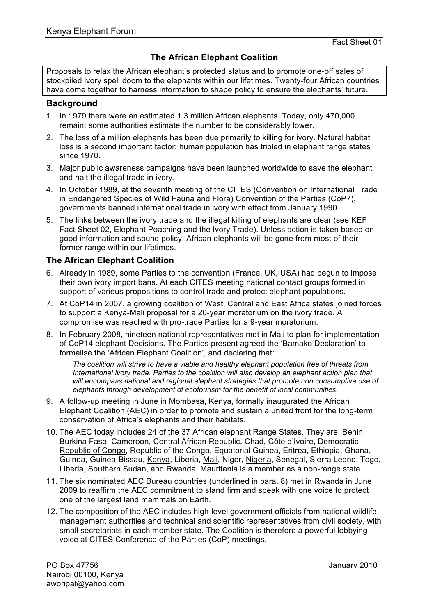# **The African Elephant Coalition**

Proposals to relax the African elephant's protected status and to promote one-off sales of stockpiled ivory spell doom to the elephants within our lifetimes. Twenty-four African countries have come together to harness information to shape policy to ensure the elephants' future.

### **Background**

- 1. In 1979 there were an estimated 1.3 million African elephants. Today, only 470,000 remain; some authorities estimate the number to be considerably lower.
- 2. The loss of a million elephants has been due primarily to killing for ivory. Natural habitat loss is a second important factor: human population has tripled in elephant range states since 1970.
- 3. Major public awareness campaigns have been launched worldwide to save the elephant and halt the illegal trade in ivory.
- 4. In October 1989, at the seventh meeting of the CITES (Convention on International Trade in Endangered Species of Wild Fauna and Flora) Convention of the Parties (CoP7), governments banned international trade in ivory with effect from January 1990
- 5. The links between the ivory trade and the illegal killing of elephants are clear (see KEF Fact Sheet 02, Elephant Poaching and the Ivory Trade). Unless action is taken based on good information and sound policy, African elephants will be gone from most of their former range within our lifetimes.

### **The African Elephant Coalition**

- 6. Already in 1989, some Parties to the convention (France, UK, USA) had begun to impose their own ivory import bans. At each CITES meeting national contact groups formed in support of various propositions to control trade and protect elephant populations.
- 7. At CoP14 in 2007, a growing coalition of West, Central and East Africa states joined forces to support a Kenya-Mali proposal for a 20-year moratorium on the ivory trade. A compromise was reached with pro-trade Parties for a 9-year moratorium.
- 8. In February 2008, nineteen national representatives met in Mali to plan for implementation of CoP14 elephant Decisions. The Parties present agreed the 'Bamako Declaration' to formalise the 'African Elephant Coalition', and declaring that:

*The coalition will strive to have a viable and healthy elephant population free of threats from International ivory trade. Parties to the coalition will also develop an elephant action plan that will encompass national and regional elephant strategies that promote non consumptive use of elephants through development of ecotourism for the benefit of local communities.*

- 9. A follow-up meeting in June in Mombasa, Kenya, formally inaugurated the African Elephant Coalition (AEC) in order to promote and sustain a united front for the long-term conservation of Africa's elephants and their habitats.
- 10. The AEC today includes 24 of the 37 African elephant Range States. They are: Benin, Burkina Faso, Cameroon, Central African Republic, Chad, Côte d'Ivoire, Democratic Republic of Congo, Republic of the Congo, Equatorial Guinea, Eritrea, Ethiopia, Ghana, Guinea, Guinea-Bissau, Kenya, Liberia, Mali, Niger, Nigeria, Senegal, Sierra Leone, Togo, Liberia, Southern Sudan, and Rwanda. Mauritania is a member as a non-range state.
- 11. The six nominated AEC Bureau countries (underlined in para. 8) met in Rwanda in June 2009 to reaffirm the AEC commitment to stand firm and speak with one voice to protect one of the largest land mammals on Earth.
- 12. The composition of the AEC includes high-level government officials from national wildlife management authorities and technical and scientific representatives from civil society, with small secretariats in each member state. The Coalition is therefore a powerful lobbying voice at CITES Conference of the Parties (CoP) meetings.